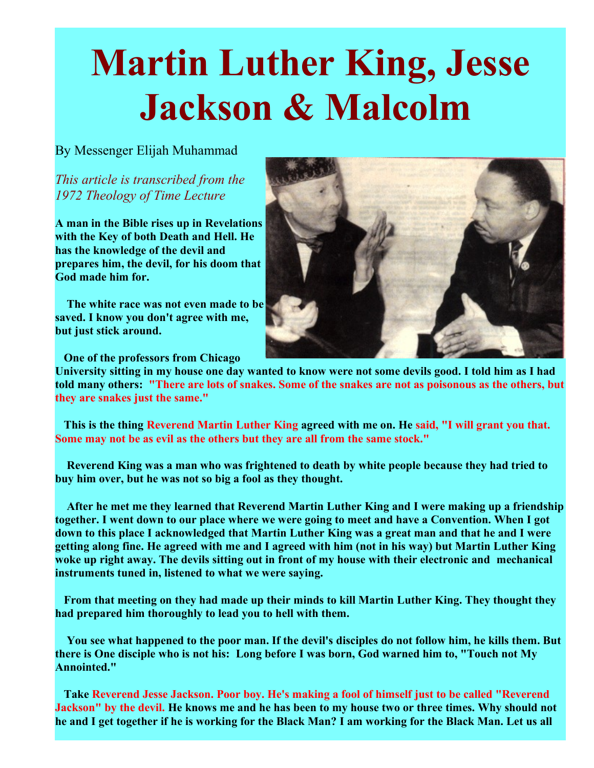## **Martin Luther King, Jesse Jackson & Malcolm**

## By Messenger Elijah Muhammad

*This article is transcribed from the 1972 Theology of Time Lecture*

**A man in the Bible rises up in Revelations with the Key of both Death and Hell. He has the knowledge of the devil and prepares him, the devil, for his doom that God made him for.** 

**The white race was not even made to be saved. I know you don't agree with me, but just stick around.**

**One of the professors from Chicago**

**University sitting in my house one day wanted to know were not some devils good. I told him as I had told many others: "There are lots of snakes. Some of the snakes are not as poisonous as the others, but they are snakes just the same."**

**This is the thing Reverend Martin Luther King agreed with me on. He said, "I will grant you that. Some may not be as evil as the others but they are all from the same stock."**

**Reverend King was a man who was frightened to death by white people because they had tried to buy him over, but he was not so big a fool as they thought.**

**After he met me they learned that Reverend Martin Luther King and I were making up a friendship together. I went down to our place where we were going to meet and have a Convention. When I got down to this place I acknowledged that Martin Luther King was a great man and that he and I were getting along fine. He agreed with me and I agreed with him (not in his way) but Martin Luther King woke up right away. The devils sitting out in front of my house with their electronic and mechanical instruments tuned in, listened to what we were saying.**

**From that meeting on they had made up their minds to kill Martin Luther King. They thought they had prepared him thoroughly to lead you to hell with them.**

**You see what happened to the poor man. If the devil's disciples do not follow him, he kills them. But there is One disciple who is not his: Long before I was born, God warned him to, "Touch not My Annointed."**

**Take Reverend Jesse Jackson. Poor boy. He's making a fool of himself just to be called "Reverend Jackson" by the devil. He knows me and he has been to my house two or three times. Why should not he and I get together if he is working for the Black Man? I am working for the Black Man. Let us all**